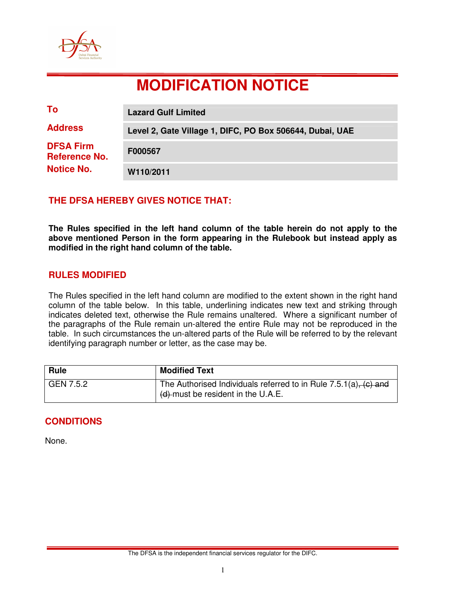

# **MODIFICATION NOTICE**

| To                                       | <b>Lazard Gulf Limited</b>                               |
|------------------------------------------|----------------------------------------------------------|
| <b>Address</b>                           | Level 2, Gate Village 1, DIFC, PO Box 506644, Dubai, UAE |
| <b>DFSA Firm</b><br><b>Reference No.</b> | F000567                                                  |
| <b>Notice No.</b>                        | W110/2011                                                |

# **THE DFSA HEREBY GIVES NOTICE THAT:**

**The Rules specified in the left hand column of the table herein do not apply to the above mentioned Person in the form appearing in the Rulebook but instead apply as modified in the right hand column of the table.** 

#### **RULES MODIFIED**

The Rules specified in the left hand column are modified to the extent shown in the right hand column of the table below. In this table, underlining indicates new text and striking through indicates deleted text, otherwise the Rule remains unaltered. Where a significant number of the paragraphs of the Rule remain un-altered the entire Rule may not be reproduced in the table. In such circumstances the un-altered parts of the Rule will be referred to by the relevant identifying paragraph number or letter, as the case may be.

| <b>Rule</b> | <b>Modified Text</b>                                                                                        |
|-------------|-------------------------------------------------------------------------------------------------------------|
| GEN 7.5.2   | The Authorised Individuals referred to in Rule $7.5.1(a)$ , (c) and<br>d (d)-must be resident in the U.A.E. |

#### **CONDITIONS**

None.